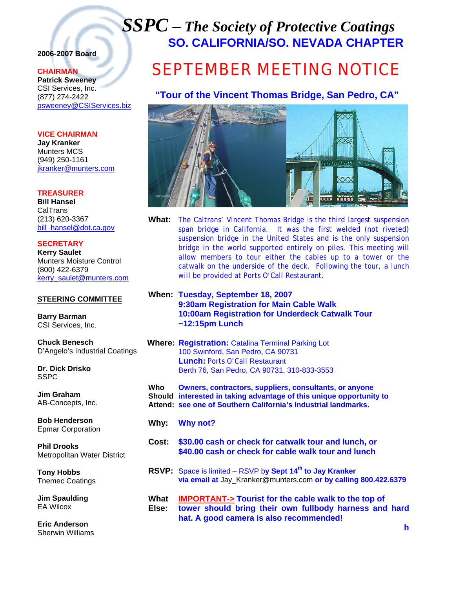## *SSPC – The Society of Protective Coatings* **SO. CALIFORNIA/SO. NEVADA CHAPTER**

### **2006-2007 Board**

#### **CHAIRMAN**

**Patrick Sweeney** CSI Services, Inc. (877) 274-2422 psweeney@CSIServices.biz

#### **VICE CHAIRMAN**

**Jay Kranker** Munters MCS (949) 250-1161 jkranker@munters.com

#### **TREASURER**

**Bill Hansel** CalTrans (213) 620-3367 bill\_hansel@dot.ca.gov

#### **SECRETARY**

**Kerry Saulet** Munters Moisture Control (800) 422-6379 kerry\_saulet@munters.com

#### **STEERING COMMITTEE**

**Barry Barman**  CSI Services, Inc.

**Chuck Benesch**  D'Angelo's Industrial Coatings

**Dr. Dick Drisko**  SSPC

**Jim Graham**  AB-Concepts, Inc.

**Bob Henderson**  Epmar Corporation

**Phil Drooks**  Metropolitan Water District

**Tony Hobbs**  Tnemec Coatings

**Jim Spaulding**  EA Wilcox

**Eric Anderson**  Sherwin Williams

# SEPTEMBER MEETING NOTICE

## **"Tour of the Vincent Thomas Bridge, San Pedro, CA"**



- **What:** The Caltrans' Vincent Thomas Bridge is the third largest suspension span bridge in California. It was the first welded (not riveted) suspension bridge in the United States and is the only suspension bridge in the world supported entirely on piles. This meeting will allow members to tour either the cables up to a tower or the catwalk on the underside of the deck. Following the tour, a lunch will be provided at Ports O'Call Restaurant.
- **When: Tuesday, September 18, 2007 9:30am Registration for Main Cable Walk 10:00am Registration for Underdeck Catwalk Tour ~12:15pm Lunch**

#### **Where: Registration:** Catalina Terminal Parking Lot 100 Swinford, San Pedro, CA 90731 **Lunch:** Ports O'Call Restaurant Berth 76, San Pedro, CA 90731, 310-833-3553

**Who Owners, contractors, suppliers, consultants, or anyone Should interested in taking advantage of this unique opportunity to Attend: see one of Southern California's Industrial landmarks.** 

- **Why: Why not?**
- **Cost: \$30.00 cash or check for catwalk tour and lunch, or \$40.00 cash or check for cable walk tour and lunch**
- **RSVP:** Space is limited RSVP b**y Sept 14th to Jay Kranker via email at** Jay\_Kranker@munters.com **or by calling 800.422.6379**
- **What IMPORTANT-> Tourist for the cable walk to the top of Else: tower should bring their own fullbody harness and hard hat. A good camera is also recommended!**